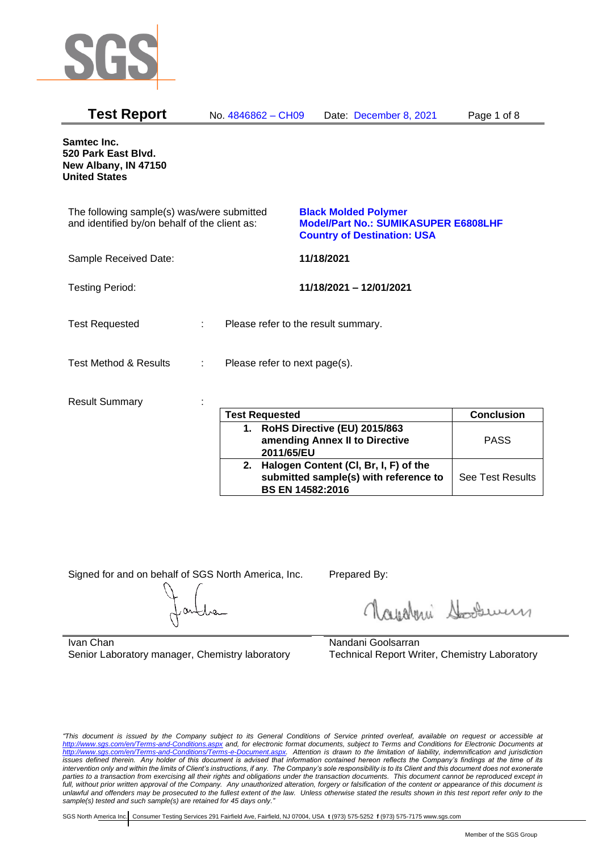

| <b>Test Report</b>                                                                          |    | No. 4846862 - CH09                  |            | Date: December 8, 2021                                                                                           | Page 1 of 8 |
|---------------------------------------------------------------------------------------------|----|-------------------------------------|------------|------------------------------------------------------------------------------------------------------------------|-------------|
| <b>Samtec Inc.</b><br>520 Park East Blvd.<br>New Albany, IN 47150<br><b>United States</b>   |    |                                     |            |                                                                                                                  |             |
| The following sample(s) was/were submitted<br>and identified by/on behalf of the client as: |    |                                     |            | <b>Black Molded Polymer</b><br><b>Model/Part No.: SUMIKASUPER E6808LHF</b><br><b>Country of Destination: USA</b> |             |
| Sample Received Date:                                                                       |    |                                     | 11/18/2021 |                                                                                                                  |             |
| <b>Testing Period:</b>                                                                      |    |                                     |            | 11/18/2021 - 12/01/2021                                                                                          |             |
| <b>Test Requested</b>                                                                       | ÷. | Please refer to the result summary. |            |                                                                                                                  |             |
| Test Method & Results                                                                       | ÷  | Please refer to next page(s).       |            |                                                                                                                  |             |
| <b>Result Summary</b>                                                                       |    |                                     |            |                                                                                                                  |             |

|    | <b>Test Requested</b>                                                                                     | <b>Conclusion</b>       |
|----|-----------------------------------------------------------------------------------------------------------|-------------------------|
|    | 1. RoHS Directive (EU) 2015/863<br>amending Annex II to Directive<br>2011/65/EU                           | <b>PASS</b>             |
| 2. | Halogen Content (CI, Br, I, F) of the<br>submitted sample(s) with reference to<br><b>BS EN 14582:2016</b> | <b>See Test Results</b> |

Signed for and on behalf of SGS North America, Inc. Prepared By:

Rosentini Souri

Ivan Chan Senior Laboratory manager, Chemistry laboratory

Nandani Goolsarran Technical Report Writer, Chemistry Laboratory

*"This document is issued by the Company subject to its General Conditions of Service printed overleaf, available on request or accessible at <http://www.sgs.com/en/Terms-and-Conditions.aspx> and, for electronic format documents, subject to Terms and Conditions for Electronic Documents at [http://www.sgs.com/en/Terms-and-Conditions/Terms-e-Document.aspx.](http://www.sgs.com/en/Terms-and-Conditions/Terms-e-Document.aspx) Attention is drawn to the limitation of liability, indemnification and jurisdiction issues defined therein. Any holder of this document is advised that information contained hereon reflects the Company's findings at the time of its intervention only and within the limits of Client's instructions, if any. The Company's sole responsibility is to its Client and this document does not exonerate*  parties to a transaction from exercising all their rights and obligations under the transaction documents. This document cannot be reproduced except in *full, without prior written approval of the Company. Any unauthorized alteration, forgery or falsification of the content or appearance of this document is unlawful and offenders may be prosecuted to the fullest extent of the law. Unless otherwise stated the results shown in this test report refer only to the sample(s) tested and such sample(s) are retained for 45 days only."*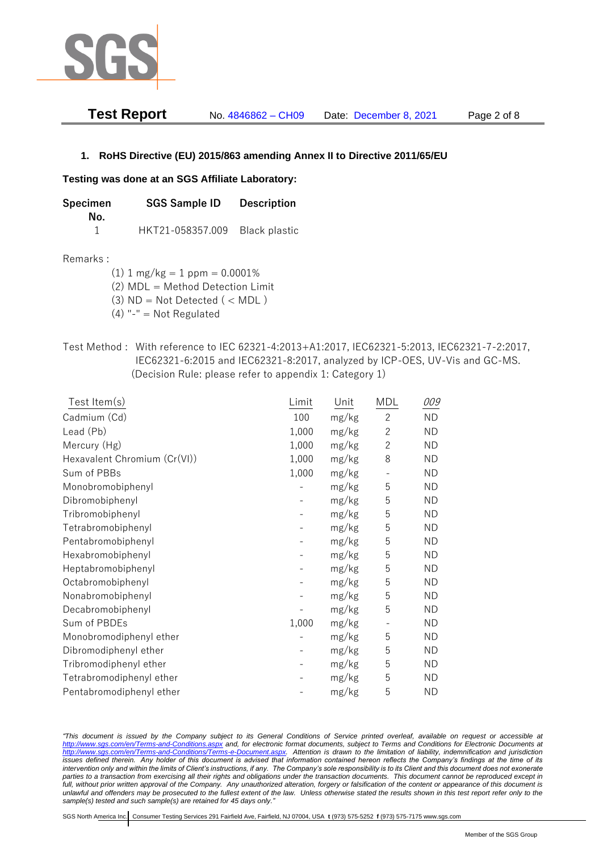

| <b>Test Report</b> | No. 4846862 - CH09 | Date: December 8, 2021 | Page 2 of 8 |
|--------------------|--------------------|------------------------|-------------|
|--------------------|--------------------|------------------------|-------------|

# **1. RoHS Directive (EU) 2015/863 amending Annex II to Directive 2011/65/EU**

## **Testing was done at an SGS Affiliate Laboratory:**

| Specimen | <b>SGS Sample ID</b>           | <b>Description</b> |  |
|----------|--------------------------------|--------------------|--|
| No.      |                                |                    |  |
|          | HKT21-058357.009 Black plastic |                    |  |

## Remarks :

(1)  $1 \text{ mg/kg} = 1 \text{ ppm} = 0.0001\%$ 

(2) MDL = Method Detection Limit

- $(3)$  ND = Not Detected  $($  < MDL)
- (4) "-" = Not Regulated
- Test Method : With reference to IEC 62321-4:2013+A1:2017, IEC62321-5:2013, IEC62321-7-2:2017, IEC62321-6:2015 and IEC62321-8:2017, analyzed by ICP-OES, UV-Vis and GC-MS. (Decision Rule: please refer to appendix 1: Category 1)

| $Test$ Item $(s)$            | Limit | Unit  | MDL            | 009       |
|------------------------------|-------|-------|----------------|-----------|
| Cadmium (Cd)                 | 100   | mg/kg | $\mathbf{2}$   | <b>ND</b> |
| Lead (Pb)                    | 1,000 | mg/kg | $\mathbf{2}$   | <b>ND</b> |
| Mercury (Hg)                 | 1,000 | mg/kg | $\overline{2}$ | <b>ND</b> |
| Hexavalent Chromium (Cr(VI)) | 1,000 | mg/kg | 8              | <b>ND</b> |
| Sum of PBBs                  | 1,000 | mg/kg |                | <b>ND</b> |
| Monobromobiphenyl            |       | mg/kg | 5              | <b>ND</b> |
| Dibromobiphenyl              |       | mg/kg | 5              | <b>ND</b> |
| Tribromobiphenyl             |       | mg/kg | 5              | <b>ND</b> |
| Tetrabromobiphenyl           |       | mg/kg | 5              | <b>ND</b> |
| Pentabromobiphenyl           |       | mg/kg | 5              | <b>ND</b> |
| Hexabromobiphenyl            |       | mg/kg | 5              | <b>ND</b> |
| Heptabromobiphenyl           |       | mg/kg | 5              | <b>ND</b> |
| Octabromobiphenyl            |       | mg/kg | 5              | <b>ND</b> |
| Nonabromobiphenyl            |       | mg/kg | 5              | <b>ND</b> |
| Decabromobiphenyl            |       | mg/kg | 5              | <b>ND</b> |
| Sum of PBDEs                 | 1,000 | mg/kg |                | <b>ND</b> |
| Monobromodiphenyl ether      |       | mg/kg | 5              | <b>ND</b> |
| Dibromodiphenyl ether        |       | mg/kg | 5              | <b>ND</b> |
| Tribromodiphenyl ether       |       | mg/kg | 5              | <b>ND</b> |
| Tetrabromodiphenyl ether     |       | mg/kg | 5              | <b>ND</b> |
| Pentabromodiphenyl ether     |       | mg/kg | 5              | <b>ND</b> |
|                              |       |       |                |           |

*"This document is issued by the Company subject to its General Conditions of Service printed overleaf, available on request or accessible at <http://www.sgs.com/en/Terms-and-Conditions.aspx> and, for electronic format documents, subject to Terms and Conditions for Electronic Documents at [http://www.sgs.com/en/Terms-and-Conditions/Terms-e-Document.aspx.](http://www.sgs.com/en/Terms-and-Conditions/Terms-e-Document.aspx) Attention is drawn to the limitation of liability, indemnification and jurisdiction issues defined therein. Any holder of this document is advised that information contained hereon reflects the Company's findings at the time of its intervention only and within the limits of Client's instructions, if any. The Company's sole responsibility is to its Client and this document does not exonerate parties to a transaction from exercising all their rights and obligations under the transaction documents. This document cannot be reproduced except in full, without prior written approval of the Company. Any unauthorized alteration, forgery or falsification of the content or appearance of this document is unlawful and offenders may be prosecuted to the fullest extent of the law. Unless otherwise stated the results shown in this test report refer only to the sample(s) tested and such sample(s) are retained for 45 days only."*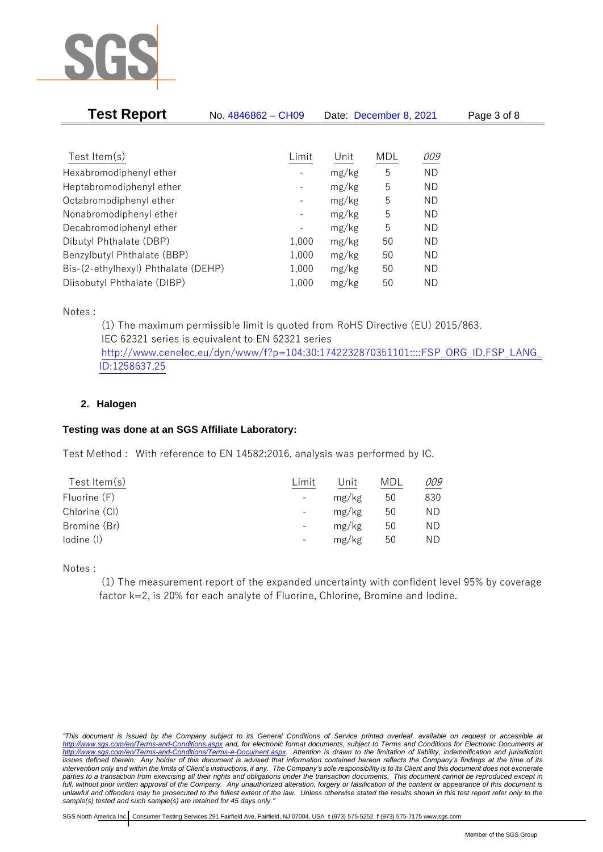

| <b>Test Report</b>                  | No. 4846862 - CH09           | Date: December 8, 2021 |            |           | Page 3 of 8 |  |
|-------------------------------------|------------------------------|------------------------|------------|-----------|-------------|--|
|                                     |                              |                        |            |           |             |  |
| Test Item $(s)$                     | Limit                        | Unit                   | <b>MDL</b> | 009       |             |  |
| Hexabromodiphenyl ether             |                              | mg/kg                  | 5          | ND        |             |  |
| Heptabromodiphenyl ether            | $\qquad \qquad -$            | mg/kg                  | 5          | <b>ND</b> |             |  |
| Octabromodiphenyl ether             |                              | mg/kg                  | 5          | ND.       |             |  |
| Nonabromodiphenyl ether             | $\qquad \qquad \blacksquare$ | mg/kg                  | 5          | ND        |             |  |
| Decabromodiphenyl ether             |                              | mg/kg                  | 5          | ND        |             |  |
| Dibutyl Phthalate (DBP)             | 1,000                        | mg/kg                  | 50         | ND        |             |  |
| Benzylbutyl Phthalate (BBP)         | 1,000                        | mg/kg                  | 50         | ND        |             |  |
| Bis-(2-ethylhexyl) Phthalate (DEHP) | 1,000                        | mg/kg                  | 50         | ND        |             |  |
| Diisobutyl Phthalate (DIBP)         | 1,000                        | mg/kg                  | 50         | ND.       |             |  |

Notes :

(1) The maximum permissible limit is quoted from RoHS Directive (EU) 2015/863. IEC 62321 series is equivalent to EN 62321 series [http://www.cenelec.eu/dyn/www/f?p=104:30:1742232870351101::::FSP\\_ORG\\_ID,FSP\\_LANG\\_](http://www.cenelec.eu/dyn/www/f?p=104:30:1742232870351101::::FSP_ORG_ID,FSP_LANG_ID:1258637,25) [ID:1258637,25](http://www.cenelec.eu/dyn/www/f?p=104:30:1742232870351101::::FSP_ORG_ID,FSP_LANG_ID:1258637,25)

# **2. Halogen**

# **Testing was done at an SGS Affiliate Laboratory:**

Test Method : With reference to EN 14582:2016, analysis was performed by IC.

| Test Item $(s)$ | Limit                    | Jnit  | MDL | 009 |
|-----------------|--------------------------|-------|-----|-----|
| Fluorine (F)    | $\overline{\phantom{a}}$ | mg/kg | 50  | 830 |
| Chlorine (CI)   | $\overline{\phantom{a}}$ | mg/kg | 50  | ΝD  |
| Bromine (Br)    |                          | mg/kg | 50  | ΝD  |
| lodine (I)      | $\overline{\phantom{a}}$ | mg/kg | 50  | ND  |
|                 |                          |       |     |     |

Notes :

(1) The measurement report of the expanded uncertainty with confident level 95% by coverage factor k=2, is 20% for each analyte of Fluorine, Chlorine, Bromine and Iodine.

*<sup>&</sup>quot;This document is issued by the Company subject to its General Conditions of Service printed overleaf, available on request or accessible at <http://www.sgs.com/en/Terms-and-Conditions.aspx> and, for electronic format documents, subject to Terms and Conditions for Electronic Documents at [http://www.sgs.com/en/Terms-and-Conditions/Terms-e-Document.aspx.](http://www.sgs.com/en/Terms-and-Conditions/Terms-e-Document.aspx) Attention is drawn to the limitation of liability, indemnification and jurisdiction issues defined therein. Any holder of this document is advised that information contained hereon reflects the Company's findings at the time of its intervention only and within the limits of Client's instructions, if any. The Company's sole responsibility is to its Client and this document does not exonerate parties to a transaction from exercising all their rights and obligations under the transaction documents. This document cannot be reproduced except in full, without prior written approval of the Company. Any unauthorized alteration, forgery or falsification of the content or appearance of this document is unlawful and offenders may be prosecuted to the fullest extent of the law. Unless otherwise stated the results shown in this test report refer only to the sample(s) tested and such sample(s) are retained for 45 days only."*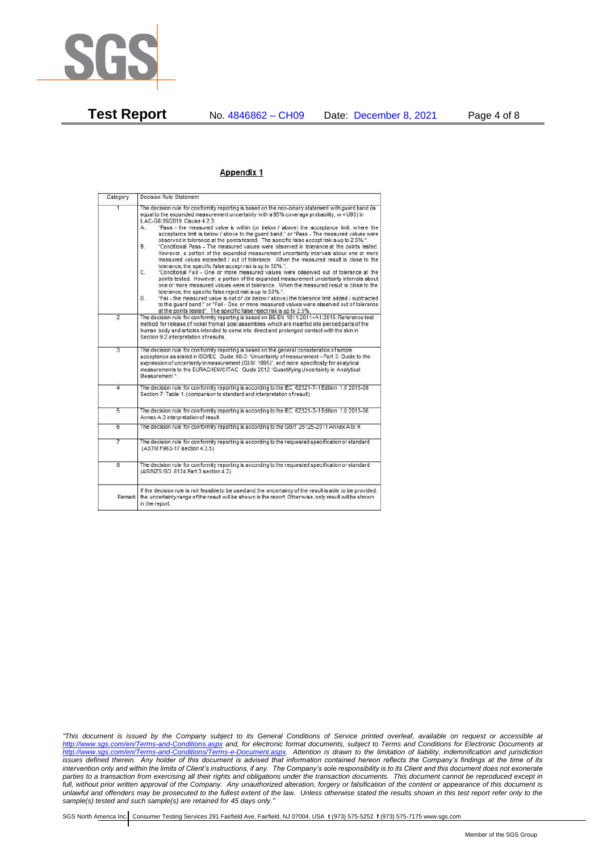

### Appendix 1

| Category                | Decision Rule Statement                                                                                                                                                                                                                                                                                                                                                                                                                                                                                                                                                                                                                                                                                                                                                                                                                                                                                                                                                                                                                                                                                                                                                                                                                                                                                                                                                                                                                                                                                                  |  |
|-------------------------|--------------------------------------------------------------------------------------------------------------------------------------------------------------------------------------------------------------------------------------------------------------------------------------------------------------------------------------------------------------------------------------------------------------------------------------------------------------------------------------------------------------------------------------------------------------------------------------------------------------------------------------------------------------------------------------------------------------------------------------------------------------------------------------------------------------------------------------------------------------------------------------------------------------------------------------------------------------------------------------------------------------------------------------------------------------------------------------------------------------------------------------------------------------------------------------------------------------------------------------------------------------------------------------------------------------------------------------------------------------------------------------------------------------------------------------------------------------------------------------------------------------------------|--|
| 1                       | The decision rule for conformity reporting is based on the non-binary statement with quard band (is<br>equal to the expanded measurement uncertainty with a 95% coverage probability, w = U95) in<br>ILAC-G8:09/2019 Clause 4.2.3.<br>"Pass - the measured value is within (or below / above) the acceptance limit, where the<br>A.<br>acceptance limit is below / above to the quard band." or "Pass - The measured values were<br>observed in tolerance at the points tested. The specific false accept risk is up to 2.5%.".<br><b>B</b><br>"Conditional Pass - The measured values were observed in tolerance at the points tested.<br>However, a portion of the expanded measurement uncertainty intervals about one or more<br>measured values exceeded / out of tolerance. When the measured result is close to the<br>tolerance, the specific false accept risk is up to 50%.".<br>C.<br>"Conditional Fail - One or more measured values were observed out of tolerance at the<br>points tested. However, a portion of the expanded measurement uncertainty intervals about<br>one or more measured values were in tolerance. When the measured result is close to the<br>tolerance, the specific false reject risk is up to 50%.".<br>"Fail - the measured value is out of (or below / above) the tolerance limit added / subtracted<br>D.<br>to the quard band." or "Fail - One or more measured values were observed out of tolerance<br>at the points tested". The specific false reject risk is up to 2.5%. |  |
| $\overline{2}$          | The decision rule for conformity reporting is based on BS EN 1811:2011+A1:2015: Reference test<br>method for release of nickel from all post assemblies which are inserted into pierced parts of the<br>human body and articles intended to come into direct and prolonged contact with the skin in<br>Section 9.2 interpretation of results.                                                                                                                                                                                                                                                                                                                                                                                                                                                                                                                                                                                                                                                                                                                                                                                                                                                                                                                                                                                                                                                                                                                                                                            |  |
| $\overline{3}$          | The decision rule for conformity reporting is based on the general consideration of simple<br>acceptance as stated in ISO/IEC Guide 98-3: "Uncertainty of measurement - Part 3: Guide to the<br>expression of uncertainty in measurement (GUM 1995)", and more specifically for analytical<br>measurements to the EURACHEM/CITAC Guide 2012 "Quantifying Uncertainty in Analytical<br>Measurement "                                                                                                                                                                                                                                                                                                                                                                                                                                                                                                                                                                                                                                                                                                                                                                                                                                                                                                                                                                                                                                                                                                                      |  |
| 4                       | The decision rule for conformity reporting is according to the IEC 62321-7-1 Edition 1.0 2015-09<br>Section 7: Table 1-(comparison to standard and interpretation of result)                                                                                                                                                                                                                                                                                                                                                                                                                                                                                                                                                                                                                                                                                                                                                                                                                                                                                                                                                                                                                                                                                                                                                                                                                                                                                                                                             |  |
| $\overline{5}$          | The decision rule for conformity reporting is according to the IEC 62321-3-1 Edition 1.0 2013-06<br>Annex A.3 interpretation of result.                                                                                                                                                                                                                                                                                                                                                                                                                                                                                                                                                                                                                                                                                                                                                                                                                                                                                                                                                                                                                                                                                                                                                                                                                                                                                                                                                                                  |  |
| 6                       | The decision rule for conformity reporting is according to the GB/T 26125-2011 Annex A to H                                                                                                                                                                                                                                                                                                                                                                                                                                                                                                                                                                                                                                                                                                                                                                                                                                                                                                                                                                                                                                                                                                                                                                                                                                                                                                                                                                                                                              |  |
| 7                       | The decision rule for conformity reporting is according to the requested specification or standard<br>(ASTM F963-17 section 4.3.5)                                                                                                                                                                                                                                                                                                                                                                                                                                                                                                                                                                                                                                                                                                                                                                                                                                                                                                                                                                                                                                                                                                                                                                                                                                                                                                                                                                                       |  |
| $\overline{\mathbf{8}}$ | The decision rule for conformity reporting is according to the requested specification or standard<br>(AS/NZS ISO 8124 Part 3 section 4.2)                                                                                                                                                                                                                                                                                                                                                                                                                                                                                                                                                                                                                                                                                                                                                                                                                                                                                                                                                                                                                                                                                                                                                                                                                                                                                                                                                                               |  |
| Remark                  | If the decision rule is not feasible to be used and the uncertainty of the result is able to be provided.<br>the uncertainty range of the result will be shown in the report. Otherwise, only result will be shown<br>in the report.                                                                                                                                                                                                                                                                                                                                                                                                                                                                                                                                                                                                                                                                                                                                                                                                                                                                                                                                                                                                                                                                                                                                                                                                                                                                                     |  |

*"This document is issued by the Company subject to its General Conditions of Service printed overleaf, available on request or accessible at <http://www.sgs.com/en/Terms-and-Conditions.aspx> and, for electronic format documents, subject to Terms and Conditions for Electronic Documents at [http://www.sgs.com/en/Terms-and-Conditions/Terms-e-Document.aspx.](http://www.sgs.com/en/Terms-and-Conditions/Terms-e-Document.aspx) Attention is drawn to the limitation of liability, indemnification and jurisdiction issues defined therein. Any holder of this document is advised that information contained hereon reflects the Company's findings at the time of its intervention only and within the limits of Client's instructions, if any. The Company's sole responsibility is to its Client and this document does not exonerate parties to a transaction from exercising all their rights and obligations under the transaction documents. This document cannot be reproduced except in full, without prior written approval of the Company. Any unauthorized alteration, forgery or falsification of the content or appearance of this document is unlawful and offenders may be prosecuted to the fullest extent of the law. Unless otherwise stated the results shown in this test report refer only to the sample(s) tested and such sample(s) are retained for 45 days only."*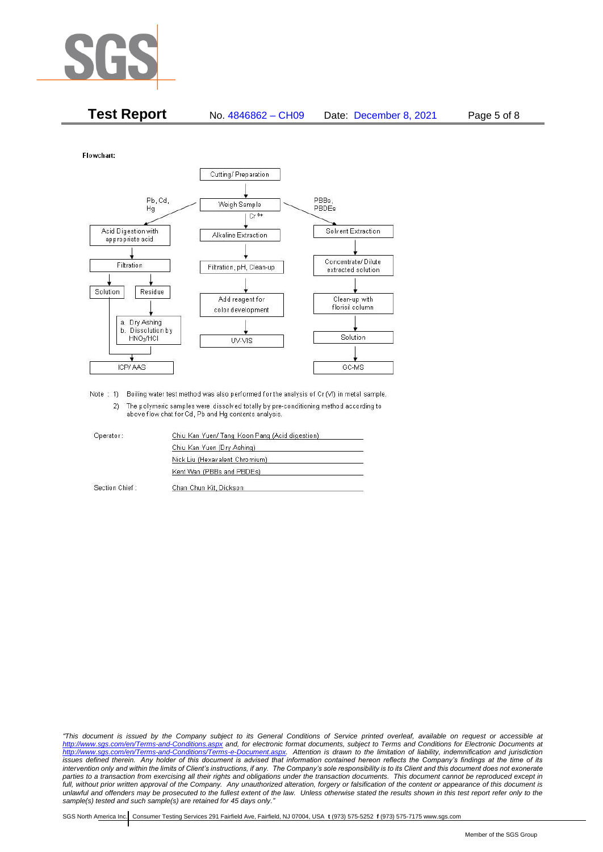

| <b>Test Report</b> | No. 4846862 - CH09 | Date: December 8, 2021 | Page 5 of 8 |
|--------------------|--------------------|------------------------|-------------|
|--------------------|--------------------|------------------------|-------------|

Flowchart:



Note : 1) Boiling water test method was also performed for the analysis of Cr (VI) in metal sample. 2) The polymeric samples were dissolved totally by pre-conditioning method according to above flow chat for Cd, Pb and Hg contents analysis

| Operator:      | Chiu Kan Yuen/ Tang Koon Pang (Acid digestion) |  |
|----------------|------------------------------------------------|--|
|                | Chiu Kan Yuen (Dry Ashing)                     |  |
|                | Nick Liu (Hexavalent Chromium)                 |  |
|                | Kent Wan (PBBs and PBDEs)                      |  |
| Section Chief: | Chan Chun Kit, Dickson                         |  |

*"This document is issued by the Company subject to its General Conditions of Service printed overleaf, available on request or accessible at <http://www.sgs.com/en/Terms-and-Conditions.aspx> and, for electronic format documents, subject to Terms and Conditions for Electronic Documents at [http://www.sgs.com/en/Terms-and-Conditions/Terms-e-Document.aspx.](http://www.sgs.com/en/Terms-and-Conditions/Terms-e-Document.aspx) Attention is drawn to the limitation of liability, indemnification and jurisdiction issues defined therein. Any holder of this document is advised that information contained hereon reflects the Company's findings at the time of its intervention only and within the limits of Client's instructions, if any. The Company's sole responsibility is to its Client and this document does not exonerate*  parties to a transaction from exercising all their rights and obligations under the transaction documents. This document cannot be reproduced except in *full, without prior written approval of the Company. Any unauthorized alteration, forgery or falsification of the content or appearance of this document is unlawful and offenders may be prosecuted to the fullest extent of the law. Unless otherwise stated the results shown in this test report refer only to the sample(s) tested and such sample(s) are retained for 45 days only."*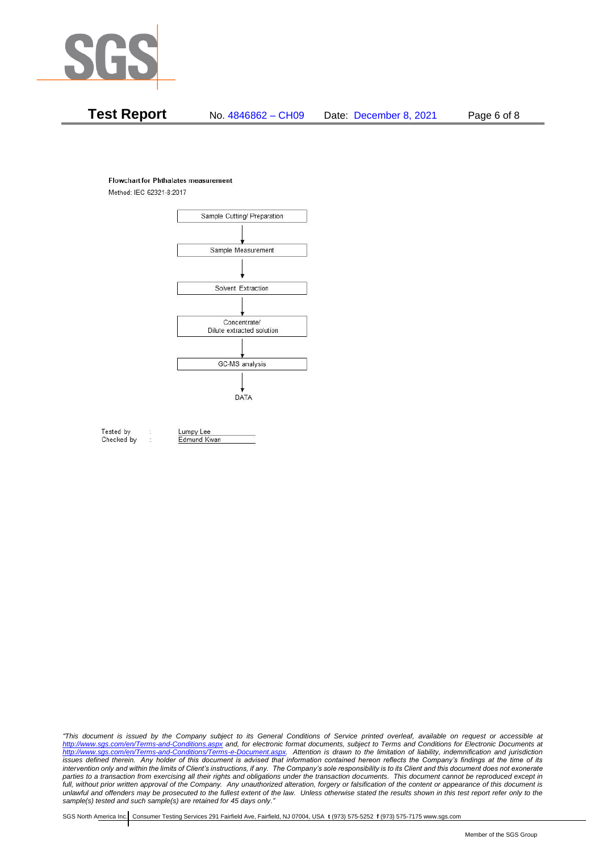

# **Test Report** No. 4846862 – CH09 Date: December 8, 2021 Page 6 of 8

#### **Flowchart for Phthalates measurement**

Method: IEC 62321-8:2017



Tested by Checked by Lumpy Lee Edmund Kwan

*"This document is issued by the Company subject to its General Conditions of Service printed overleaf, available on request or accessible at <http://www.sgs.com/en/Terms-and-Conditions.aspx> and, for electronic format documents, subject to Terms and Conditions for Electronic Documents at [http://www.sgs.com/en/Terms-and-Conditions/Terms-e-Document.aspx.](http://www.sgs.com/en/Terms-and-Conditions/Terms-e-Document.aspx) Attention is drawn to the limitation of liability, indemnification and jurisdiction issues defined therein. Any holder of this document is advised that information contained hereon reflects the Company's findings at the time of its intervention only and within the limits of Client's instructions, if any. The Company's sole responsibility is to its Client and this document does not exonerate*  parties to a transaction from exercising all their rights and obligations under the transaction documents. This document cannot be reproduced except in *full, without prior written approval of the Company. Any unauthorized alteration, forgery or falsification of the content or appearance of this document is unlawful and offenders may be prosecuted to the fullest extent of the law. Unless otherwise stated the results shown in this test report refer only to the sample(s) tested and such sample(s) are retained for 45 days only."*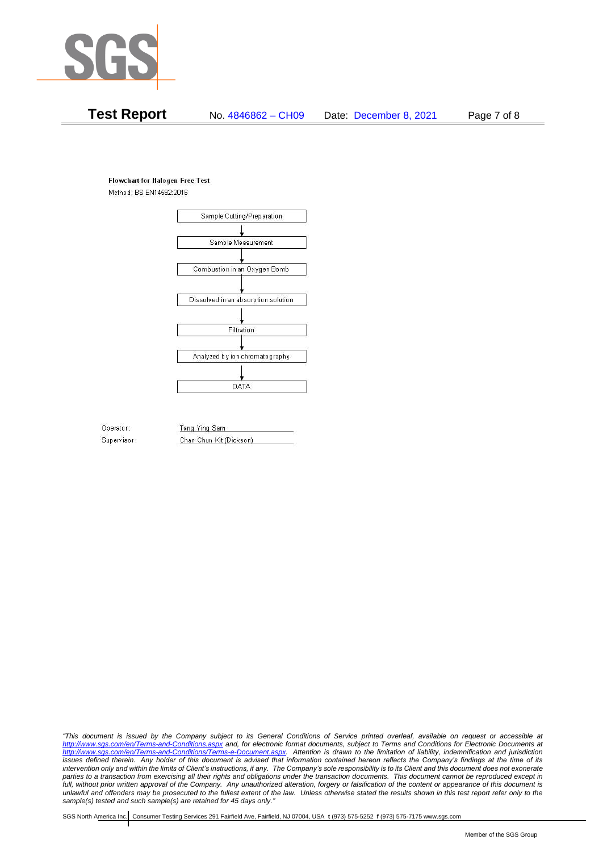

# **Test Report** No. 4846862 – CH09 Date: December 8, 2021 Page 7 of 8

## **Flowchart for Halogen Free Test**

Method: BS EN14582:2016



Operator: Supervisor: Tang Ying Sam Chan Chun Kit (Dickson)

*"This document is issued by the Company subject to its General Conditions of Service printed overleaf, available on request or accessible at <http://www.sgs.com/en/Terms-and-Conditions.aspx> and, for electronic format documents, subject to Terms and Conditions for Electronic Documents at [http://www.sgs.com/en/Terms-and-Conditions/Terms-e-Document.aspx.](http://www.sgs.com/en/Terms-and-Conditions/Terms-e-Document.aspx) Attention is drawn to the limitation of liability, indemnification and jurisdiction issues defined therein. Any holder of this document is advised that information contained hereon reflects the Company's findings at the time of its intervention only and within the limits of Client's instructions, if any. The Company's sole responsibility is to its Client and this document does not exonerate*  parties to a transaction from exercising all their rights and obligations under the transaction documents. This document cannot be reproduced except in *full, without prior written approval of the Company. Any unauthorized alteration, forgery or falsification of the content or appearance of this document is unlawful and offenders may be prosecuted to the fullest extent of the law. Unless otherwise stated the results shown in this test report refer only to the sample(s) tested and such sample(s) are retained for 45 days only."*